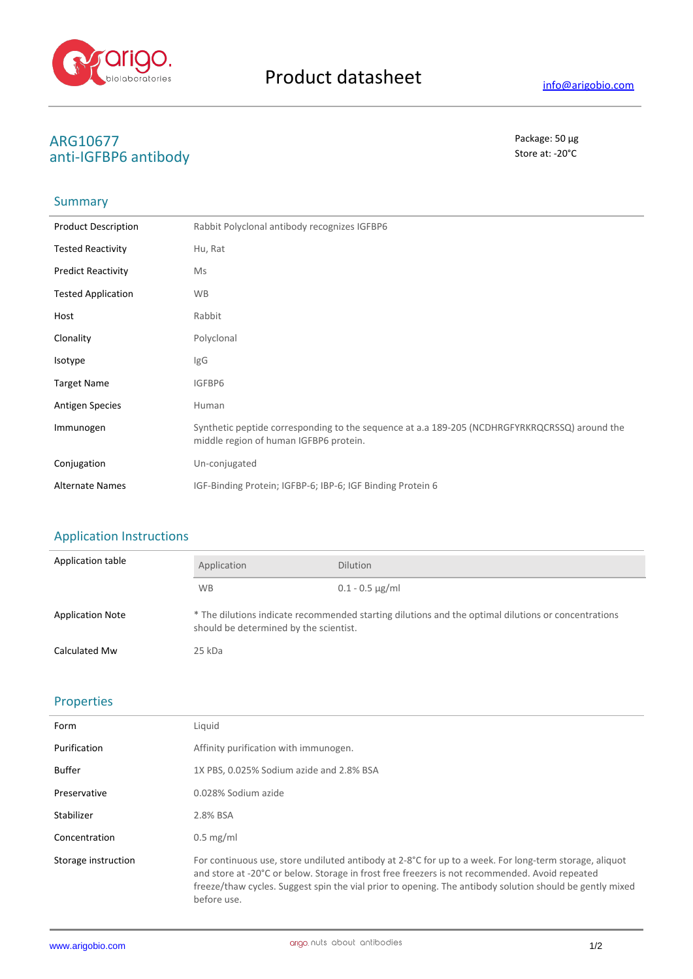

# ARG10677<br>
anti-IGERD6 antibody<br>
anti-IGERD6 antibody anti-IGFBP6 antibody

#### Summary

| <b>Product Description</b> | Rabbit Polyclonal antibody recognizes IGFBP6                                                                                            |
|----------------------------|-----------------------------------------------------------------------------------------------------------------------------------------|
| <b>Tested Reactivity</b>   | Hu, Rat                                                                                                                                 |
| <b>Predict Reactivity</b>  | Ms                                                                                                                                      |
| <b>Tested Application</b>  | <b>WB</b>                                                                                                                               |
| Host                       | Rabbit                                                                                                                                  |
| Clonality                  | Polyclonal                                                                                                                              |
| Isotype                    | IgG                                                                                                                                     |
| <b>Target Name</b>         | IGFBP6                                                                                                                                  |
| <b>Antigen Species</b>     | Human                                                                                                                                   |
| Immunogen                  | Synthetic peptide corresponding to the sequence at a.a 189-205 (NCDHRGFYRKRQCRSSQ) around the<br>middle region of human IGFBP6 protein. |
| Conjugation                | Un-conjugated                                                                                                                           |
| <b>Alternate Names</b>     | IGF-Binding Protein; IGFBP-6; IBP-6; IGF Binding Protein 6                                                                              |

# Application Instructions

| Application table       | Application                                                                                                                                   | <b>Dilution</b>   |
|-------------------------|-----------------------------------------------------------------------------------------------------------------------------------------------|-------------------|
|                         | <b>WB</b>                                                                                                                                     | $0.1 - 0.5$ µg/ml |
| <b>Application Note</b> | * The dilutions indicate recommended starting dilutions and the optimal dilutions or concentrations<br>should be determined by the scientist. |                   |
| <b>Calculated Mw</b>    | 25 kDa                                                                                                                                        |                   |

### Properties

| Form                | Liquid                                                                                                                                                                                                                                                                                                                              |
|---------------------|-------------------------------------------------------------------------------------------------------------------------------------------------------------------------------------------------------------------------------------------------------------------------------------------------------------------------------------|
| Purification        | Affinity purification with immunogen.                                                                                                                                                                                                                                                                                               |
| <b>Buffer</b>       | 1X PBS, 0.025% Sodium azide and 2.8% BSA                                                                                                                                                                                                                                                                                            |
| Preservative        | 0.028% Sodium azide                                                                                                                                                                                                                                                                                                                 |
| Stabilizer          | 2.8% BSA                                                                                                                                                                                                                                                                                                                            |
| Concentration       | $0.5 \text{ mg/ml}$                                                                                                                                                                                                                                                                                                                 |
| Storage instruction | For continuous use, store undiluted antibody at 2-8°C for up to a week. For long-term storage, aliquot<br>and store at -20°C or below. Storage in frost free freezers is not recommended. Avoid repeated<br>freeze/thaw cycles. Suggest spin the vial prior to opening. The antibody solution should be gently mixed<br>before use. |